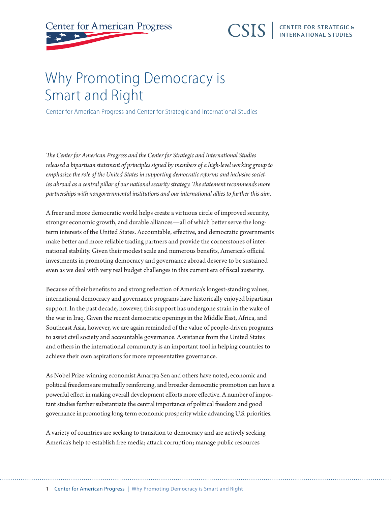## **CENTER FOR STRATEGIC &**<br>INTERNATIONAL STUDIES **CSIS**

## Why Promoting Democracy is Smart and Right

Center for American Progress and Center for Strategic and International Studies

*The Center for American Progress and the Center for Strategic and International Studies released a bipartisan statement of principles signed by members of a high-level working group to emphasize the role of the United States in supporting democratic reforms and inclusive societies abroad as a central pillar of our national security strategy. The statement recommends more partnerships with nongovernmental institutions and our international allies to further this aim.*

A freer and more democratic world helps create a virtuous circle of improved security, stronger economic growth, and durable alliances—all of which better serve the longterm interests of the United States. Accountable, effective, and democratic governments make better and more reliable trading partners and provide the cornerstones of international stability. Given their modest scale and numerous benefits, America's official investments in promoting democracy and governance abroad deserve to be sustained even as we deal with very real budget challenges in this current era of fiscal austerity.

Because of their benefits to and strong reflection of America's longest-standing values, international democracy and governance programs have historically enjoyed bipartisan support. In the past decade, however, this support has undergone strain in the wake of the war in Iraq. Given the recent democratic openings in the Middle East, Africa, and Southeast Asia, however, we are again reminded of the value of people-driven programs to assist civil society and accountable governance. Assistance from the United States and others in the international community is an important tool in helping countries to achieve their own aspirations for more representative governance.

As Nobel Prize-winning economist Amartya Sen and others have noted, economic and political freedoms are mutually reinforcing, and broader democratic promotion can have a powerful effect in making overall development efforts more effective. A number of important studies further substantiate the central importance of political freedom and good governance in promoting long-term economic prosperity while advancing U.S. priorities.

A variety of countries are seeking to transition to democracy and are actively seeking America's help to establish free media; attack corruption; manage public resources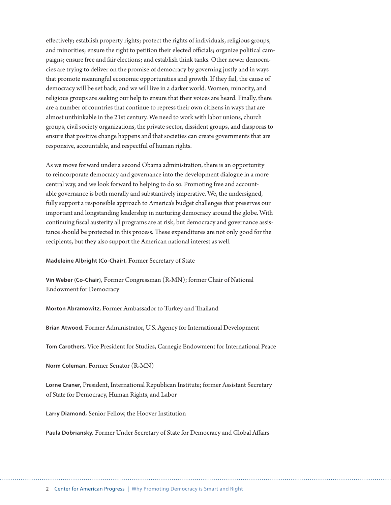effectively; establish property rights; protect the rights of individuals, religious groups, and minorities; ensure the right to petition their elected officials; organize political campaigns; ensure free and fair elections; and establish think tanks. Other newer democracies are trying to deliver on the promise of democracy by governing justly and in ways that promote meaningful economic opportunities and growth. If they fail, the cause of democracy will be set back, and we will live in a darker world. Women, minority, and religious groups are seeking our help to ensure that their voices are heard. Finally, there are a number of countries that continue to repress their own citizens in ways that are almost unthinkable in the 21st century. We need to work with labor unions, church groups, civil society organizations, the private sector, dissident groups, and diasporas to ensure that positive change happens and that societies can create governments that are responsive, accountable, and respectful of human rights.

As we move forward under a second Obama administration, there is an opportunity to reincorporate democracy and governance into the development dialogue in a more central way, and we look forward to helping to do so. Promoting free and accountable governance is both morally and substantively imperative. We, the undersigned, fully support a responsible approach to America's budget challenges that preserves our important and longstanding leadership in nurturing democracy around the globe. With continuing fiscal austerity all programs are at risk, but democracy and governance assistance should be protected in this process. These expenditures are not only good for the recipients, but they also support the American national interest as well.

**Madeleine Albright (Co-Chair),** Former Secretary of State

**Vin Weber (Co-Chair),** Former Congressman (R-MN); former Chair of National Endowment for Democracy

**Morton Abramowitz,** Former Ambassador to Turkey and Thailand

**Brian Atwood,** Former Administrator, U.S. Agency for International Development

**Tom Carothers,** Vice President for Studies, Carnegie Endowment for International Peace

**Norm Coleman,** Former Senator (R-MN)

**Lorne Craner,** President, International Republican Institute; former Assistant Secretary of State for Democracy, Human Rights, and Labor

**Larry Diamond,** Senior Fellow, the Hoover Institution

**Paula Dobriansky,** Former Under Secretary of State for Democracy and Global Affairs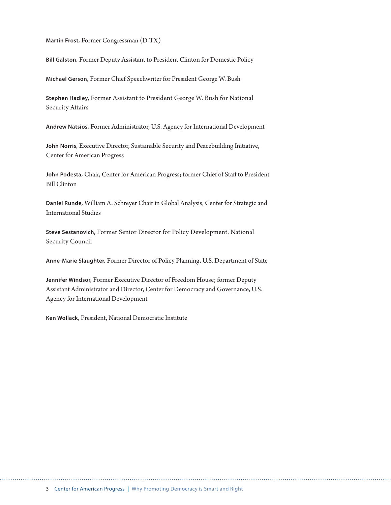**Martin Frost,** Former Congressman (D-TX)

**Bill Galston,** Former Deputy Assistant to President Clinton for Domestic Policy

**Michael Gerson,** Former Chief Speechwriter for President George W. Bush

**Stephen Hadley,** Former Assistant to President George W. Bush for National Security Affairs

**Andrew Natsios,** Former Administrator, U.S. Agency for International Development

**John Norris,** Executive Director, Sustainable Security and Peacebuilding Initiative, Center for American Progress

**John Podesta,** Chair, Center for American Progress; former Chief of Staff to President Bill Clinton

**Daniel Runde,** William A. Schreyer Chair in Global Analysis, Center for Strategic and International Studies

**Steve Sestanovich,** Former Senior Director for Policy Development, National Security Council

**Anne-Marie Slaughter,** Former Director of Policy Planning, U.S. Department of State

**Jennifer Windsor,** Former Executive Director of Freedom House; former Deputy Assistant Administrator and Director, Center for Democracy and Governance, U.S. Agency for International Development

**Ken Wollack,** President, National Democratic Institute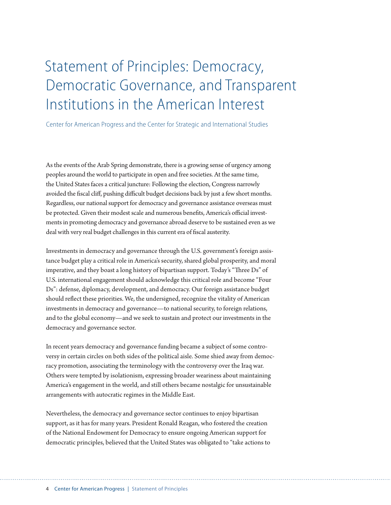## Statement of Principles: Democracy, Democratic Governance, and Transparent Institutions in the American Interest

Center for American Progress and the Center for Strategic and International Studies

As the events of the Arab Spring demonstrate, there is a growing sense of urgency among peoples around the world to participate in open and free societies. At the same time, the United States faces a critical juncture: Following the election, Congress narrowly avoided the fiscal cliff, pushing difficult budget decisions back by just a few short months. Regardless, our national support for democracy and governance assistance overseas must be protected. Given their modest scale and numerous benefits, America's official investments in promoting democracy and governance abroad deserve to be sustained even as we deal with very real budget challenges in this current era of fiscal austerity.

Investments in democracy and governance through the U.S. government's foreign assistance budget play a critical role in America's security, shared global prosperity, and moral imperative, and they boast a long history of bipartisan support. Today's "Three Ds" of U.S. international engagement should acknowledge this critical role and become "Four Ds": defense, diplomacy, development, and democracy. Our foreign assistance budget should reflect these priorities. We, the undersigned, recognize the vitality of American investments in democracy and governance—to national security, to foreign relations, and to the global economy—and we seek to sustain and protect our investments in the democracy and governance sector.

In recent years democracy and governance funding became a subject of some controversy in certain circles on both sides of the political aisle. Some shied away from democracy promotion, associating the terminology with the controversy over the Iraq war. Others were tempted by isolationism, expressing broader weariness about maintaining America's engagement in the world, and still others became nostalgic for unsustainable arrangements with autocratic regimes in the Middle East.

Nevertheless, the democracy and governance sector continues to enjoy bipartisan support, as it has for many years. President Ronald Reagan, who fostered the creation of the National Endowment for Democracy to ensure ongoing American support for democratic principles, believed that the United States was obligated to "take actions to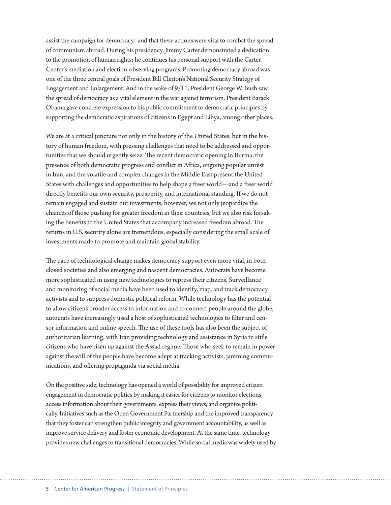assist the campaign for democracy," and that these actions were vital to combat the spread of communism abroad. During his presidency, Jimmy Carter demonstrated a dedication to the promotion of human rights; he continues his personal support with the Carter Center's mediation and election-observing programs. Promoting democracy abroad was one of the three central goals of President Bill Clinton's National Security Strategy of Engagement and Enlargement. And in the wake of 9/11, President George W. Bush saw the spread of democracy as a vital element in the war against terrorism. President Barack Obama gave concrete expression to his public commitment to democratic principles by supporting the democratic aspirations of citizens in Egypt and Libya, among other places.

We are at a critical juncture not only in the history of the United States, but in the history of human freedom, with pressing challenges that need to be addressed and opportunities that we should urgently seize. The recent democratic opening in Burma, the presence of both democratic progress and conflict in Africa, ongoing popular unrest in Iran, and the volatile and complex changes in the Middle East present the United States with challenges and opportunities to help shape a freer world—and a freer world directly benefits our own security, prosperity, and international standing. If we do not remain engaged and sustain our investments, however, we not only jeopardize the chances of those pushing for greater freedom in their countries, but we also risk forsaking the benefits to the United States that accompany increased freedom abroad. The returns in U.S. security alone are tremendous, especially considering the small scale of investments made to promote and maintain global stability.

The pace of technological change makes democracy support even more vital, in both closed societies and also emerging and nascent democracies. Autocrats have become more sophisticated in using new technologies to repress their citizens. Surveillance and monitoring of social media have been used to identify, map, and track democracy activists and to suppress domestic political reform. While technology has the potential to allow citizens broader access to information and to connect people around the globe, autocrats have increasingly used a host of sophisticated technologies to filter and censor information and online speech. The use of these tools has also been the subject of authoritarian learning, with Iran providing technology and assistance in Syria to stifle citizens who have risen up against the Assad regime. Those who seek to remain in power against the will of the people have become adept at tracking activists, jamming communications, and offering propaganda via social media.

On the positive side, technology has opened a world of possibility for improved citizen engagement in democratic politics by making it easier for citizens to monitor elections, access information about their governments, express their views, and organize politically. Initiatives such as the Open Government Partnership and the improved transparency that they foster can strengthen public integrity and government accountability, as well as improve service delivery and foster economic development. At the same time, technology provides new challenges to transitional democracies. While social media was widely used by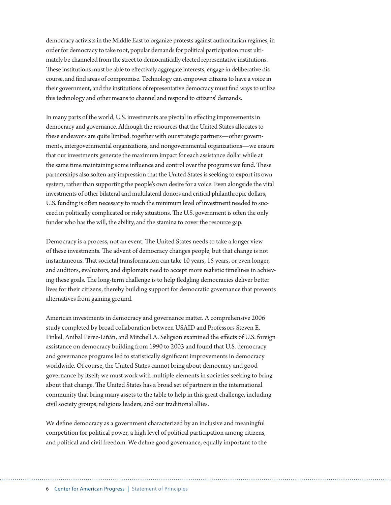democracy activists in the Middle East to organize protests against authoritarian regimes, in order for democracy to take root, popular demands for political participation must ultimately be channeled from the street to democratically elected representative institutions. These institutions must be able to effectively aggregate interests, engage in deliberative discourse, and find areas of compromise. Technology can empower citizens to have a voice in their government, and the institutions of representative democracy must find ways to utilize this technology and other means to channel and respond to citizens' demands.

In many parts of the world, U.S. investments are pivotal in effecting improvements in democracy and governance. Although the resources that the United States allocates to these endeavors are quite limited, together with our strategic partners—other governments, intergovernmental organizations, and nongovernmental organizations—we ensure that our investments generate the maximum impact for each assistance dollar while at the same time maintaining some influence and control over the programs we fund. These partnerships also soften any impression that the United States is seeking to export its own system, rather than supporting the people's own desire for a voice. Even alongside the vital investments of other bilateral and multilateral donors and critical philanthropic dollars, U.S. funding is often necessary to reach the minimum level of investment needed to succeed in politically complicated or risky situations. The U.S. government is often the only funder who has the will, the ability, and the stamina to cover the resource gap.

Democracy is a process, not an event. The United States needs to take a longer view of these investments. The advent of democracy changes people, but that change is not instantaneous. That societal transformation can take 10 years, 15 years, or even longer, and auditors, evaluators, and diplomats need to accept more realistic timelines in achieving these goals. The long-term challenge is to help fledgling democracies deliver better lives for their citizens, thereby building support for democratic governance that prevents alternatives from gaining ground.

American investments in democracy and governance matter. A comprehensive 2006 study completed by broad collaboration between USAID and Professors Steven E. Finkel, Aníbal Pérez-Liñán, and Mitchell A. Seligson examined the effects of U.S. foreign assistance on democracy building from 1990 to 2003 and found that U.S. democracy and governance programs led to statistically significant improvements in democracy worldwide. Of course, the United States cannot bring about democracy and good governance by itself; we must work with multiple elements in societies seeking to bring about that change. The United States has a broad set of partners in the international community that bring many assets to the table to help in this great challenge, including civil society groups, religious leaders, and our traditional allies.

We define democracy as a government characterized by an inclusive and meaningful competition for political power, a high level of political participation among citizens, and political and civil freedom. We define good governance, equally important to the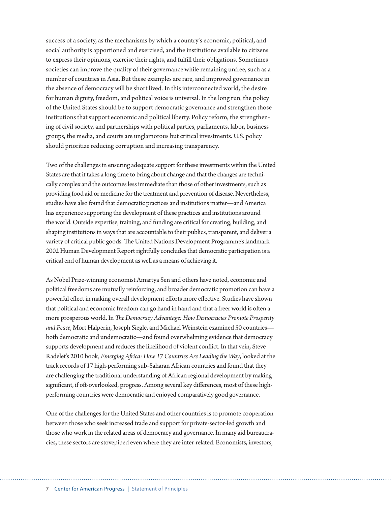success of a society, as the mechanisms by which a country's economic, political, and social authority is apportioned and exercised, and the institutions available to citizens to express their opinions, exercise their rights, and fulfill their obligations. Sometimes societies can improve the quality of their governance while remaining unfree, such as a number of countries in Asia. But these examples are rare, and improved governance in the absence of democracy will be short lived. In this interconnected world, the desire for human dignity, freedom, and political voice is universal. In the long run, the policy of the United States should be to support democratic governance and strengthen those institutions that support economic and political liberty. Policy reform, the strengthening of civil society, and partnerships with political parties, parliaments, labor, business groups, the media, and courts are unglamorous but critical investments. U.S. policy should prioritize reducing corruption and increasing transparency.

Two of the challenges in ensuring adequate support for these investments within the United States are that it takes a long time to bring about change and that the changes are technically complex and the outcomes less immediate than those of other investments, such as providing food aid or medicine for the treatment and prevention of disease. Nevertheless, studies have also found that democratic practices and institutions matter—and America has experience supporting the development of these practices and institutions around the world. Outside expertise, training, and funding are critical for creating, building, and shaping institutions in ways that are accountable to their publics, transparent, and deliver a variety of critical public goods. The United Nations Development Programme's landmark 2002 Human Development Report rightfully concludes that democratic participation is a critical end of human development as well as a means of achieving it.

As Nobel Prize-winning economist Amartya Sen and others have noted, economic and political freedoms are mutually reinforcing, and broader democratic promotion can have a powerful effect in making overall development efforts more effective. Studies have shown that political and economic freedom can go hand in hand and that a freer world is often a more prosperous world. In *The Democracy Advantage: How Democracies Promote Prosperity and Peace*, Mort Halperin, Joseph Siegle, and Michael Weinstein examined 50 countries both democratic and undemocratic—and found overwhelming evidence that democracy supports development and reduces the likelihood of violent conflict. In that vein, Steve Radelet's 2010 book, *Emerging Africa: How 17 Countries Are Leading the Way*, looked at the track records of 17 high-performing sub-Saharan African countries and found that they are challenging the traditional understanding of African regional development by making significant, if oft-overlooked, progress. Among several key differences, most of these highperforming countries were democratic and enjoyed comparatively good governance.

One of the challenges for the United States and other countries is to promote cooperation between those who seek increased trade and support for private-sector-led growth and those who work in the related areas of democracy and governance. In many aid bureaucracies, these sectors are stovepiped even where they are inter-related. Economists, investors,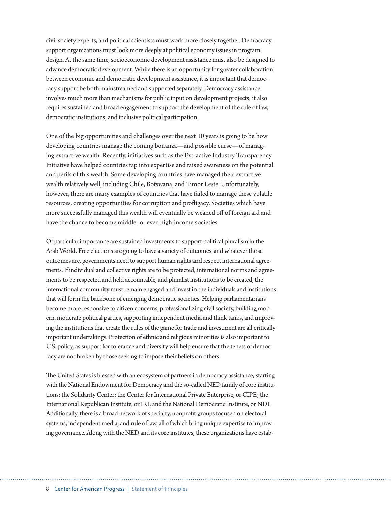civil society experts, and political scientists must work more closely together. Democracysupport organizations must look more deeply at political economy issues in program design. At the same time, socioeconomic development assistance must also be designed to advance democratic development. While there is an opportunity for greater collaboration between economic and democratic development assistance, it is important that democracy support be both mainstreamed and supported separately. Democracy assistance involves much more than mechanisms for public input on development projects; it also requires sustained and broad engagement to support the development of the rule of law, democratic institutions, and inclusive political participation.

One of the big opportunities and challenges over the next 10 years is going to be how developing countries manage the coming bonanza—and possible curse—of managing extractive wealth. Recently, initiatives such as the Extractive Industry Transparency Initiative have helped countries tap into expertise and raised awareness on the potential and perils of this wealth. Some developing countries have managed their extractive wealth relatively well, including Chile, Botswana, and Timor Leste. Unfortunately, however, there are many examples of countries that have failed to manage these volatile resources, creating opportunities for corruption and profligacy. Societies which have more successfully managed this wealth will eventually be weaned off of foreign aid and have the chance to become middle- or even high-income societies.

Of particular importance are sustained investments to support political pluralism in the Arab World. Free elections are going to have a variety of outcomes, and whatever those outcomes are, governments need to support human rights and respect international agreements. If individual and collective rights are to be protected, international norms and agreements to be respected and held accountable, and pluralist institutions to be created, the international community must remain engaged and invest in the individuals and institutions that will form the backbone of emerging democratic societies. Helping parliamentarians become more responsive to citizen concerns, professionalizing civil society, building modern, moderate political parties, supporting independent media and think tanks, and improving the institutions that create the rules of the game for trade and investment are all critically important undertakings. Protection of ethnic and religious minorities is also important to U.S. policy, as support for tolerance and diversity will help ensure that the tenets of democracy are not broken by those seeking to impose their beliefs on others.

The United States is blessed with an ecosystem of partners in democracy assistance, starting with the National Endowment for Democracy and the so-called NED family of core institutions: the Solidarity Center; the Center for International Private Enterprise, or CIPE; the International Republican Institute, or IRI; and the National Democratic Institute, or NDI. Additionally, there is a broad network of specialty, nonprofit groups focused on electoral systems, independent media, and rule of law, all of which bring unique expertise to improving governance. Along with the NED and its core institutes, these organizations have estab